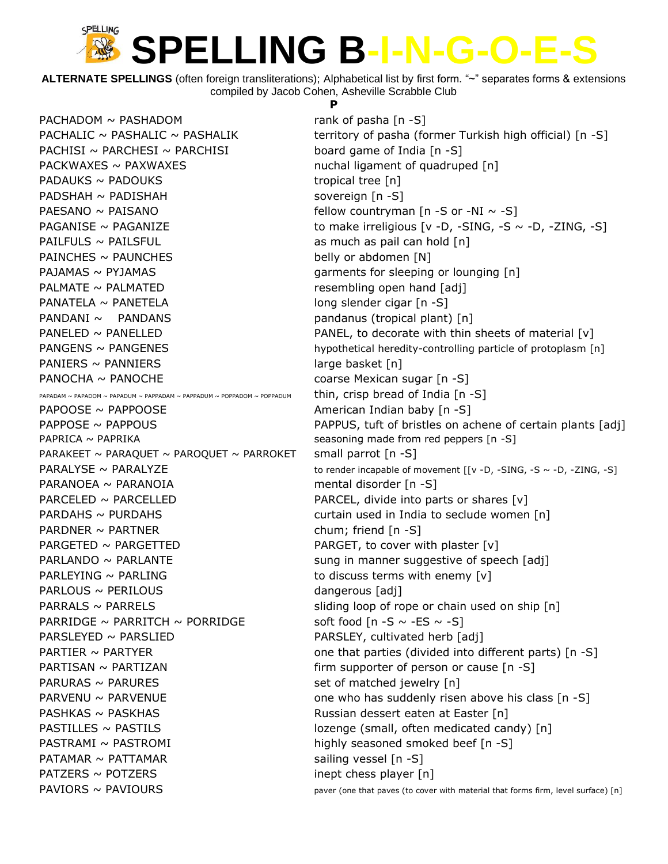**ALTERNATE SPELLINGS** (often foreign transliterations); Alphabetical list by first form. "~" separates forms & extensions compiled by Jacob Cohen, Asheville Scrabble Club

 $PACHADOM \sim PASHADOM$  rank of pasha  $[n -S]$ PACHISI ~ PARCHESI ~ PARCHISI board game of India  $[n - S]$ PACKWAXES ~ PAXWAXES metalligament of quadruped [n]  $PADAUKS \sim PADOUKS$  tropical tree [n] PADSHAH ~ PADISHAH sovereign [n -S] PAESANO  $\sim$  PAISANO **Fellow** countryman  $[n - S]$  or  $-NI \sim -S$ ]  $PAILFULS \sim PAILSFUL$  as much as pail can hold  $[n]$  $PAINCHES \sim PAUNCHES$  belly or abdomen  $[N]$ PAJAMAS  $\sim$  PYJAMAS  $\sim$  PYJAMAS and  $\sim$  9 m subsets for sleeping or lounging [n] PALMATE  $\sim$  PALMATED resembling open hand  $\lceil$ adj $\rceil$  $PANATELA \sim PANETELA$  long slender cigar  $[n -S]$ PANDANI ~ PANDANS pandanus (tropical plant) [n] PANIERS ~ PANNIERS large basket [n] PANOCHA ~ PANOCHE coarse Mexican sugar [n -S] PAPADAM ~ PAPADOM ~ PAPADUM ~ PAPPADAM ~ PAPPADUM ~ POPPADOM ~ POPPADUM thin, crisp bread of India  $[n - S]$  $PAPOOSE \sim PAPPOOSE$  American Indian baby [n -S] PAPRICA ~ PAPRIKA **seasoning made from red peppers** [n -S] PARAKEET  $\sim$  PARAQUET  $\sim$  PAROQUET  $\sim$  PARROKET small parrot [n -S]  $PARANOEA \sim PARANOIA$  mental disorder [n -S] PARCELED ~ PARCELLED **PARCELS** PARCEL, divide into parts or shares [v] PARDNER ~ PARTNER chum; friend [n -S] PARGETED ~ PARGETTED **PARGET, to cover with plaster [v]** PARLEYING  $\sim$  PARLING to discuss terms with enemy  $[v]$ PARLOUS ~ PERILOUS **dangerous** [adj] PARRIDGE  $\sim$  PARRITCH  $\sim$  PORRIDGE soft food [n -S  $\sim$  -ES  $\sim$  -S] PARSLEYED ~ PARSLIED **PARSLEY, cultivated herb** [adj] PARTISAN  $\sim$  PARTIZAN  $\sim$  PARTIZAN  $\sim$  Firm supporter of person or cause [n -S]  $PARURAS \sim PARURES$  set of matched jewelry  $[n]$ PASHKAS ~ PASKHAS THE RUSSIAN RUSSIAN dessert eaten at Easter [n] PASTRAMI ~ PASTROMI highly seasoned smoked beef [n -S] PATAMAR ~ PATTAMAR sailing vessel [n -S]  $PATZERS \sim POTZERS$  inept chess player [n]

#### **P**

PACHALIC ~ PASHALIC ~ PASHALIK territory of pasha (former Turkish high official)  $[n -S]$ PAGANISE ~ PAGANIZE  $\sim$  PAGANIZE to make irreligious [v -D, -SING, -S ~ -D, -ZING, -S] PANELED  $\sim$  PANELLED  $\sim$  PANELLED PANEL, to decorate with thin sheets of material [v] PANGENS ~ PANGENES hypothetical heredity-controlling particle of protoplasm [n] PAPPOSE ~ PAPPOUS PAPPUS, tuft of bristles on achene of certain plants [adj] PARALYSE ~ PARALYZE to render incapable of movement [[v -D, -SING, -S ~ -D, -ZING, -S] PARDAHS ~ PURDAHS curtain used in India to seclude women [n]  $PARLANDO \sim PARLANTE$  sung in manner suggestive of speech [adj]  $PARRALS \sim PARRELS$  sliding loop of rope or chain used on ship  $[n]$ PARTIER  $\sim$  PARTYER one that parties (divided into different parts) [n -S] PARVENU  $\sim$  PARVENUE and the same who has suddenly risen above his class [n -S] PASTILLES ~ PASTILS lozenge (small, often medicated candy) [n]  $PAVIORS \sim PAVIOURS$  paver (one that paves (to cover with material that forms firm, level surface) [n]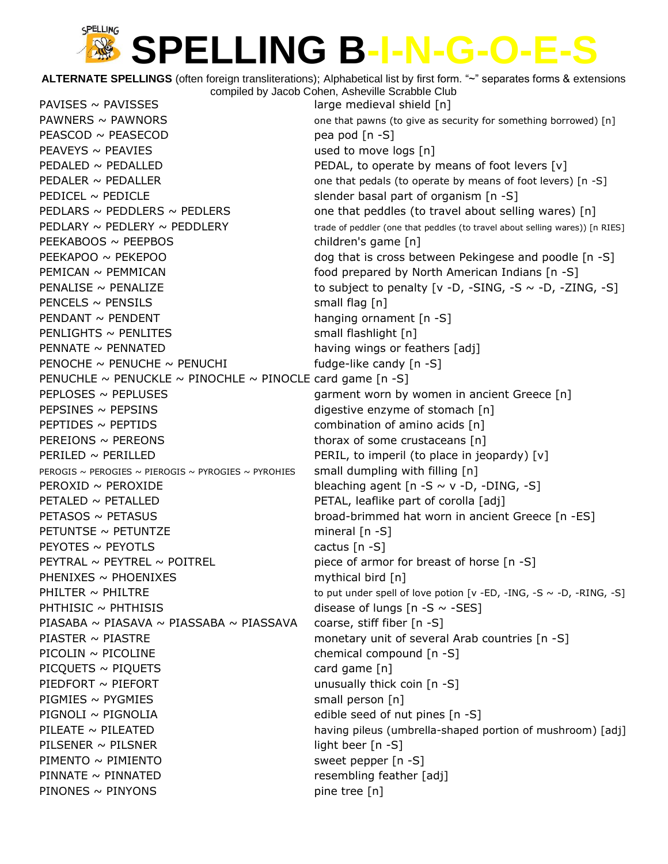**ALTERNATE SPELLINGS** (often foreign transliterations); Alphabetical list by first form. "~" separates forms & extensions compiled by Jacob Cohen, Asheville Scrabble Club

 $PAVISES \sim PAVISSES$  large medieval shield [n]  $PEASCOD \sim PEASE COD$  pea pod  $[n-S]$  $PEAVEYS \sim PEAVIES$  used to move logs  $[n]$ PEDALED  $\sim$  PEDALLED PEDAL, to operate by means of foot levers  $[v]$ PEDICEL ~ PEDICLE slender basal part of organism [n -S] PEEKABOOS ~ PEEPBOS children's game [n] PEMICAN ~ PEMMICAN **Food prepared by North American Indians** [n -S]  $PENCELS \sim PENSILS$  small flag [n] PENDANT ~ PENDENT hanging ornament [n -S]  $PENLIGHTS \sim PENLITES$  small flashlight  $[n]$  $PENNATE \sim PENNATED$  having wings or feathers [adj] PENOCHE  $\sim$  PENUCHE  $\sim$  PENUCHI fudge-like candy  $[n - S]$ PENUCHLE  $\sim$  PENUCKLE  $\sim$  PINOCHLE  $\sim$  PINOCLE card game [n -S] PEPLOSES ~ PEPLUSES TERM THE REPOSES ASSEMBLY A REPORT OF THE REPOSES AND THE PEPLOSES TERM OF THE PART OF THE REPOSE OF THE REPORT OF THE REPORT OF THE REPORT OF THE REPORT OF THE REPORT OF THE REPORT OF THE REPORT OF THE PEPSINES ~ PEPSINS enzyme of stomach [n] **PEPTIDES**  $\sim$  PEPTIDS **EXECUTE:** PEPTIDES **combination of amino acids**  $[n]$  $PEREIONS ~ PEREONS$  thorax of some crustaceans [n] PERILED ~ PERILLED **PERILLED** PERIL, to imperil (to place in jeopardy)  $[v]$ PEROGIS ~ PEROGIES ~ PIEROGIS ~ PYROGIES ~ PYROHIES small dumpling with filling  $[n]$ PEROXID  $\sim$  PEROXIDE bleaching agent  $[n - S \sim v - D, -DING, -S]$ PETALED ~ PETALLED **PETAL PETAL, leaflike part of corolla** [adj]  $PETUNTSE \sim PETUNTZE$  mineral  $[n -S]$  $P$ EYOTES ~ PEYOTLS cactus  $[n - S]$ PEYTRAL  $\sim$  PEYTREL  $\sim$  POITREL piece of armor for breast of horse [n -S]  $PHENIXES \sim PHOENIXES$  mythical bird [n] PHTHISIC  $\sim$  PHTHISIS disease of lungs  $[n - S \sim -SES]$ PIASABA ~ PIASAVA ~ PIASSABA ~ PIASSAVA coarse, stiff fiber  $[n -S]$ PIASTER ~ PIASTRE monetary unit of several Arab countries [n -S] PICOLIN ~ PICOLINE chemical compound [n -S]  $PICQUETS \sim PIQUETS$  card game  $[n]$ PIEDFORT  $\sim$  PIEFORT  $\sim$  PIEFORT  $PIGMIES \sim PYGMIES$  small person [n] PIGNOLI ~ PIGNOLIA edible seed of nut pines  $[n -S]$ PILSENER ~ PILSNER light beer [n -S] PIMENTO ~ PIMIENTO entitled and the sweet pepper [n -S] PINNATE ~ PINNATED resembling feather [adj]  $PINONES \sim PINYONS$  pine tree [n]

PAWNERS  $\sim$  PAWNORS  $\sim$  PAWNORS and that pawns (to give as security for something borrowed) [n] PEDALER  $\sim$  PEDALLER one that pedals (to operate by means of foot levers)  $[n - S]$ PEDLARS  $\sim$  PEDDLERS  $\sim$  PEDLERS  $\sim$  PEDLERS one that peddles (to travel about selling wares) [n]  $PEDLARY \sim PEDLERY \sim PEDDLERY$  trade of peddler (one that peddles (to travel about selling wares)) [n RIES] PEEKAPOO ~ PEKEPOO dog that is cross between Pekingese and poodle [n -S] PENALISE  $\sim$  PENALIZE to subject to penalty  $\lceil v - D \rceil$  -SING, -S  $\sim$  -D, -ZING, -S] PETASOS ~ PETASUS broad-brimmed hat worn in ancient Greece [n -ES] PHILTER  $\sim$  PHILTRE to put under spell of love potion [v -ED, -ING, -S  $\sim$  -D, -RING, -S] PILEATE ~ PILEATED **having pileus (umbrella-shaped portion of mushroom**) [adj]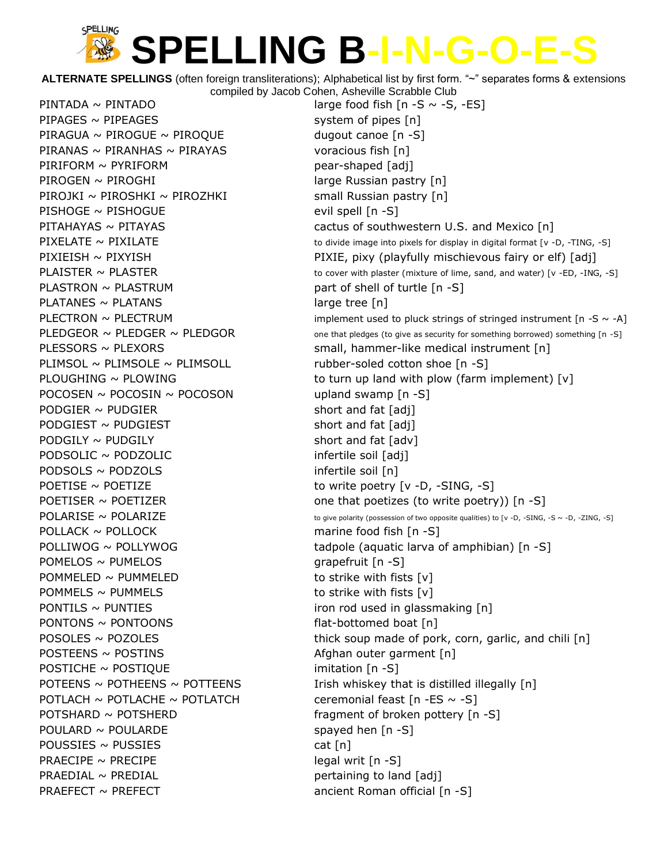**ALTERNATE SPELLINGS** (often foreign transliterations); Alphabetical list by first form. "~" separates forms & extensions compiled by Jacob Cohen, Asheville Scrabble Club

 $PIPAGES \sim PIPEAGES$  system of pipes  $[n]$ PIRAGUA  $\sim$  PIROGUE  $\sim$  PIROQUE dugout canoe [n -S] PIRANAS ~ PIRANHAS ~ PIRAYAS voracious fish  $[n]$ PIRIFORM ~ PYRIFORM pear-shaped [adj]  $PIROGEN \sim PIROGHI$  large Russian pastry  $[n]$  $PIROJKI \sim PIROSHKI \sim PIROZHKI$  small Russian pastry  $[n]$  $P$ ISHOGE ~ PISHOGUE evil spell  $[n - S]$ PLASTRON  $\sim$  PLASTRUM part of shell of turtle  $[n -S]$  $PLATANES \sim PLATANS$  large tree [n] PLIMSOL  $\sim$  PLIMSOLE  $\sim$  PLIMSOLL rubber-soled cotton shoe [n -S] POCOSEN  $\sim$  POCOSIN  $\sim$  POCOSON upland swamp  $[n -S]$  $PODGIER \sim PUDGIER$  short and fat [adj]  $PODGIEST \sim PUDGIEST$  short and fat [adj] PODGILY ~ PUDGILY short and fat [adv] PODSOLIC ~ PODZOLIC infertile soil [adj]  $PODSOLS \sim PODZOLS$  infertile soil [n] POETISE  $\sim$  POETIZE to write poetry  $[v - D, -SING, -S]$ POLLACK ~ POLLOCK marine food fish [n -S] POMELOS ~ PUMELOS (POMELOS contracts) and the set of the set of the set of the set of the set of the set of the set of the set of the set of the set of the set of the set of the set of the set of the set of the set of the  $POMMELED \sim PUMMELED$  to strike with fists  $[v]$  $POMMELS \sim PUMMELS$  to strike with fists  $[v]$ PONTILS  $\sim$  PUNTIES iron rod used in glassmaking [n]  $PONTONS \sim PONTOONS$  flat-bottomed boat [n]  $POSTEENS \sim POSTINS$  Afghan outer garment  $[n]$ POSTICHE ~ POSTIQUE imitation [n -S] POTLACH  $\sim$  POTLACHE  $\sim$  POTLATCH ceremonial feast [n -ES  $\sim$  -S] POTSHARD ~ POTSHERD fragment of broken pottery [n -S]  $POLARD \sim \text{POULARDE}$  spayed hen  $[n -S]$  $POUSSIES \sim PUSSIES$  cat [n] PRAECIPE  $\sim$  PRECIPE legal writ  $[n - S]$  $PRAEDIAL \sim PREDIAL$  pertaining to land  $[adj]$ PRAEFECT  $\sim$  PREFECT  $\sim$  PREFECT ancient Roman official [n -S]

PINTADA  $\sim$  PINTADO large food fish  $[n - S \sim -S, -ES]$ PITAHAYAS ~ PITAYAS cactus of southwestern U.S. and Mexico [n] PIXELATE  $\sim$  PIXILATE  $\sim$  PIXILATE to divide image into pixels for display in digital format [v -D, -TING, -S] PIXIEISH ~ PIXYISH PIXIE, pixy (playfully mischievous fairy or elf) [adj]  $PLAISTER \sim PLASTER$   $\sim$  PLASTER to cover with plaster (mixture of lime, sand, and water) [v -ED, -ING, -S] PLECTRON  $\sim$  PLECTRUM implement used to pluck strings of stringed instrument [n -S  $\sim$  -A] PLEDGEOR  $\sim$  PLEDGER  $\sim$  PLEDGOR one that pledges (to give as security for something borrowed) something [n -S] PLESSORS ~ PLEXORS small, hammer-like medical instrument [n] PLOUGHING  $\sim$  PLOWING to turn up land with plow (farm implement) [v] POETISER  $\sim$  POETIZER one that poetizes (to write poetry)) [n -S]  $POLARISE \sim POLARIZE$  to give polarity (possession of two opposite qualities) to [v -D, -SING, -S ~ -D, -ZING, -S] POLLIWOG  $\sim$  POLLYWOG tadpole (aquatic larva of amphibian)  $[n -S]$  $POSOLES \sim POZOLES$  thick soup made of pork, corn, garlic, and chili [n] POTEENS  $\sim$  POTHEENS  $\sim$  POTTEENS Irish whiskey that is distilled illegally [n]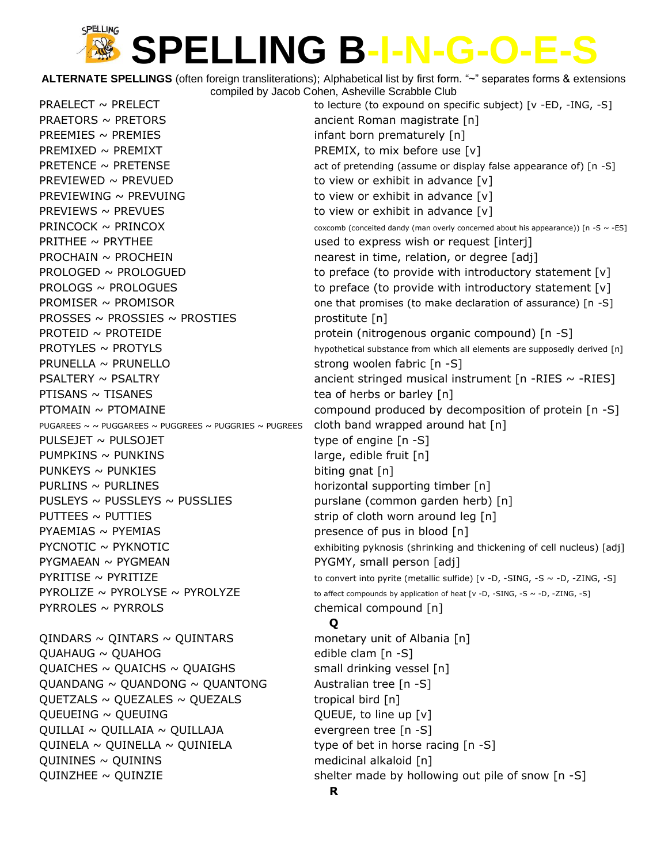**ALTERNATE SPELLINGS** (often foreign transliterations); Alphabetical list by first form. "~" separates forms & extensions compiled by Jacob Cohen, Asheville Scrabble Club

PRAETORS ~ PRETORS **ancient Roman magistrate** [n] PREEMIES  $\sim$  PREMIES  $\sim$  PREMIES PREMIXED ~ PREMIXT PREMIX, to mix before use  $[v]$ PREVIEWED  $\sim$  PREVUED to view or exhibit in advance  $[v]$ PREVIEWING  $\sim$  PREVUING  $\sim$  to view or exhibit in advance [v] PREVIEWS ~ PREVUES  $\sim$  PREVUES PRITHEE ~ PRYTHEE THE USED USED to express wish or request [interj]  $PROCHAIN \sim PROCHEN$  nearest in time, relation, or degree [adj] PROSSES ~ PROSSIES ~ PROSTIES prostitute  $[n]$ PRUNELLA ~ PRUNELLO strong woolen fabric [n -S]  $PTISANS \sim TISANES$  tea of herbs or barley [n] PUGAREES  $\sim \sim$  PUGGAREES  $\sim$  PUGGREES  $\sim$  PUGGRIES  $\sim$  PUGREES cloth band wrapped around hat [n] PULSEJET ~ PULSOJET type of engine [n -S]  $PUMPKINS \sim PUNKINS$  large, edible fruit  $[n]$  $PUNKEYS \sim PUNKIES$  biting gnat [n] PURLINS ~ PURLINES horizontal supporting timber [n] PUSLEYS  $\sim$  PUSSLEYS  $\sim$  PUSSLIES purslane (common garden herb) [n]  $PUTEES \sim PUTTIES$  strip of cloth worn around leg [n]  $PY$ AEMIAS ~ PYEMIAS presence of pus in blood  $[n]$ PYGMAEAN ~ PYGMEAN PYGMY, small person [adj] PYRROLES ~ PYRROLS chemical compound [n]  $QINDARS \sim QINTARS \sim QUINTARS$  monetary unit of Albania [n]  $QUAHAUG \sim QUAHOG$  edible clam  $[n-S]$ QUAICHES  $\sim$  QUAICHS  $\sim$  QUAIGHS small drinking vessel [n]  $QUANDANG \sim QUANDONG \sim QUANTONG$  Australian tree [n -S]  $QUETZALS \sim QUEZALES \sim QUEZALS$  tropical bird [n]  $QUEU EING ~ QUEUING$  QUEUEING  $\sim$  QUEUE, to line up [v]  $QUILLA I \sim QUILLA IA \sim QUILLA JA$  evergreen tree [n -S]

QUINELA  $\sim$  QUINELLA  $\sim$  QUINIELA type of bet in horse racing [n -S] QUININES ~ QUININS medicinal alkaloid [n]

PRAELECT  $\sim$  PRELECT  $\sim$  PRELECT to lecture (to expound on specific subject) [v -ED, -ING, -S] PRETENCE ~ PRETENSE **act of pretending (assume or display false appearance of)** [n -S]  $PRINCOCK \sim PRINCOX$  coxcomb (conceited dandy (man overly concerned about his appearance)) [n -S ~ -ES] PROLOGED ~ PROLOGUED to preface (to provide with introductory statement [v]  $PROLOGS \sim PROLOGUES$  to preface (to provide with introductory statement [v] PROMISER ~ PROMISOR **one that promises (to make declaration of assurance**) [n -S] PROTEID ~ PROTEIDE protein (nitrogenous organic compound) [n -S]  $PROTYLES \sim \text{PROTYLS}$  and the proportion of the probability is a proportional substance from which all elements are supposedly derived [n] PSALTERY ~ PSALTRY **but ancient stringed musical instrument** [n -RIES ~ -RIES]  $P$ TOMAIN ~ PTOMAINE  $\sim$  PTOMAINE compound produced by decomposition of protein [n -S]  $PYCNOTIC \sim PYKNOTIC$  exhibiting pyknosis (shrinking and thickening of cell nucleus) [adj]  $PYRITISE \sim PYRITIZE$  to convert into pyrite (metallic sulfide) [v -D, -SING, -S ~ -D, -ZING, -S]  $\text{PYROL}$   $\sim$  PYROLYSE  $\sim$  PYROLYZE to affect compounds by application of heat [v -D, -SING, -S ~ -D, -ZING, -S] **Q** QUINZHEE  $\sim$  QUINZIE shelter made by hollowing out pile of snow  $[n -S]$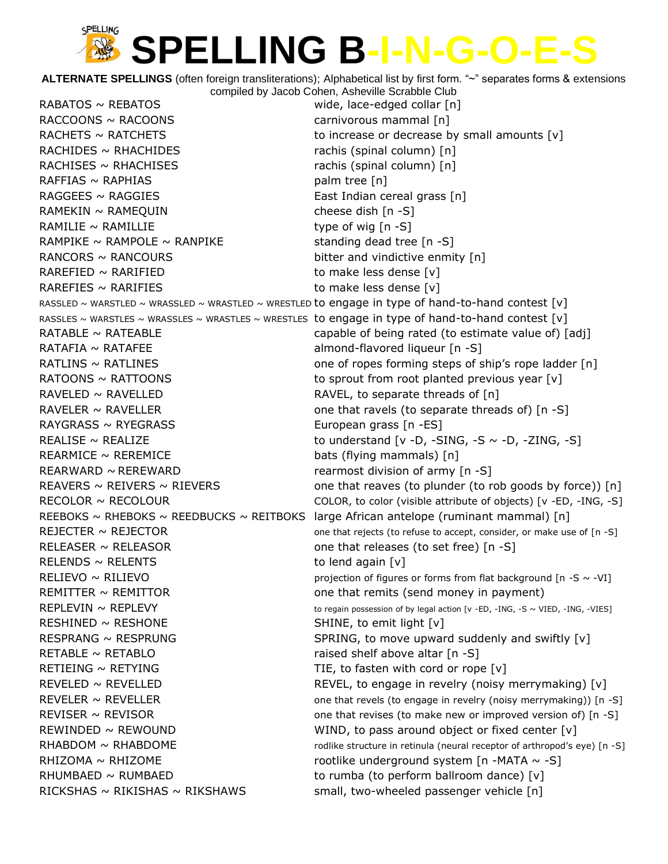**ALTERNATE SPELLINGS** (often foreign transliterations); Alphabetical list by first form. "~" separates forms & extensions compiled by Jacob Cohen, Asheville Scrabble Club RABATOS ~ REBATOS wide, lace-edged collar [n] RACCOONS ~ RACOONS carnivorous mammal [n] RACHETS  $\sim$  RATCHETS to increase or decrease by small amounts  $[v]$ RACHIDES ~ RHACHIDES **rachis (spinal column)** [n] RACHISES ~ RHACHISES **rachis (spinal column)** [n]  $RAFFIAS \sim RAPHIAS$  palm tree [n] RAGGEES ~ RAGGIES EAST CONTROLLER EAST Indian cereal grass [n] RAMEKIN ~ RAMEQUIN cheese dish [n -S] RAMILIE  $\sim$  RAMILLIE type of wig  $[n -S]$ RAMPIKE  $\sim$  RAMPOLE  $\sim$  RANPIKE standing dead tree [n -S] RANCORS  $\sim$  RANCOURS bitter and vindictive enmity  $[n]$ RAREFIED ~ RARIFIED to make less dense [v] RAREFIES  $\sim$  RARIFIES  $\sim$  RARIFIES RASSLED ~ WARSTLED ~ WRASSLED ~ WRASTLED ~ WRESTLED to engage in type of hand-to-hand contest  $[v]$ RASSLES ~ WARSTLES ~ WRASSLES ~ WRASTLES ~ WRESTLES to engage in type of hand-to-hand contest [v] RATABLE  $\sim$  RATEABLE  $\sim$  and  $\sim$  capable of being rated (to estimate value of) [adj] RATAFIA ~ RATAFEE almond-flavored liqueur [n -S] RATLINS ~ RATLINES **but all the state one of ropes forming steps of ship's rope ladder** [n] RATOONS  $\sim$  RATTOONS to sprout from root planted previous year [v] RAVELED ~ RAVELLED RAVEL, to separate threads of [n] RAVELER  $\sim$  RAVELLER  $\sim$  0ne that ravels (to separate threads of) [n -S]  $RAYGRASS \sim RYEGRASS$  European grass  $[n -ES]$ REALISE  $\sim$  REALIZE to understand  $[v -D, -SING, -S \sim -D, -ZING, -S]$ REARMICE ~ REREMICE bats (flying mammals) [n] REARWARD  $\sim$  REREWARD rearmost division of army  $[n -S]$ REAVERS  $\sim$  REIVERS  $\sim$  RIEVERS  $\sim$  000 that reaves (to plunder (to rob goods by force)) [n] RECOLOR  $\sim$  RECOLOUR COLOR, to color (visible attribute of objects) [v -ED, -ING, -S] REEBOKS  $\sim$  RHEBOKS  $\sim$  REEDBUCKS  $\sim$  REITBOKS large African antelope (ruminant mammal) [n] REJECTER  $\sim$  REJECTOR  $\sim$  000 that rejects (to refuse to accept, consider, or make use of [n -S] RELEASER  $\sim$  RELEASOR one that releases (to set free) [n -S] RELENDS  $\sim$  RELENTS to lend again  $[v]$ RELIEVO  $\sim$  RILIEVO **projection of figures or forms from flat background [n** -S  $\sim$  -VI] REMITTER  $\sim$  REMITTOR one that remits (send money in payment)  $REPLEXING \sim REPLEXY$  to regain possession of by legal action [v -ED, -ING, -S ~ VIED, -ING, -VIES] RESHINED  $\sim$  RESHONE SHINE, to emit light  $[v]$ RESPRANG  $\sim$  RESPRUNG  $\sim$  SPRING, to move upward suddenly and swiftly [v] RETABLE  $\sim$  RETABLO raised shelf above altar  $[n -S]$ RETIEING  $\sim$  RETYING TIE, to fasten with cord or rope  $[v]$ REVELED  $\sim$  REVELLED REVEL, to engage in revelry (noisy merrymaking) [v] REVELER  $\sim$  REVELLER  $\sim$  10.53 and that revels (to engage in revelry (noisy merrymaking)) [n -S] REVISER  $\sim$  REVISOR  $\sim$  **REVISOR**  $\sim$  80  $\sim$  80  $\sim$  80  $\sim$  80  $\sim$  000 that revises (to make new or improved version of) [n -S] REWINDED  $\sim$  REWOUND WIND, to pass around object or fixed center [v] RHABDOM  $\sim$  RHABDOME rodlike structure in retinula (neural receptor of arthropod's eye) [n -S] RHIZOMA  $\sim$  RHIZOME rootlike underground system [n -MATA  $\sim$  -S] RHUMBAED  $\sim$  RUMBAED  $|v|$  to rumba (to perform ballroom dance)  $|v|$ RICKSHAS  $\sim$  RIKISHAS  $\sim$  RIKSHAWS small, two-wheeled passenger vehicle [n]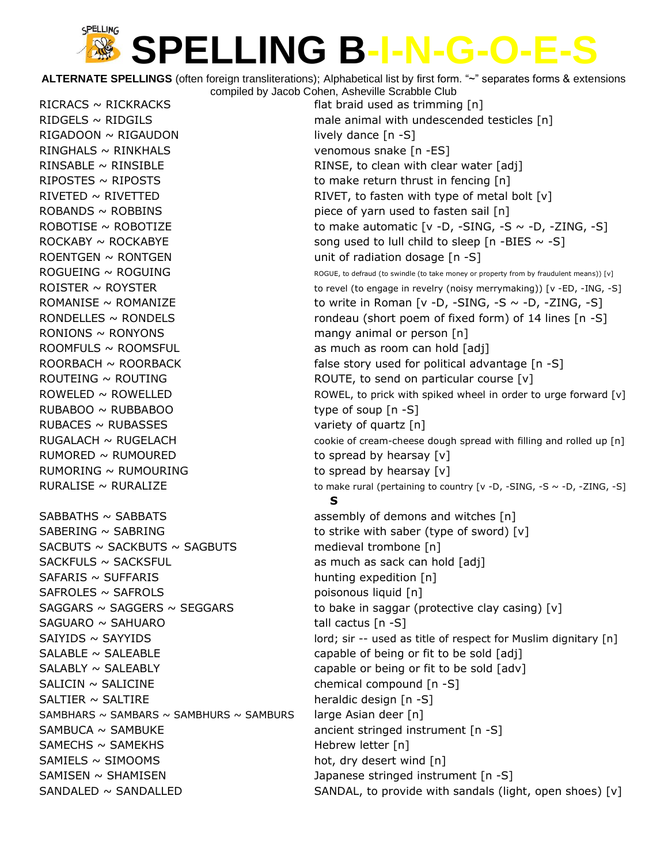**ALTERNATE SPELLINGS** (often foreign transliterations); Alphabetical list by first form. "~" separates forms & extensions compiled by Jacob Cohen, Asheville Scrabble Club

RICRACS  $\sim$  RICKRACKS flat braid used as trimming  $[n]$  $RIGADOON \sim RIGAUDOM$  lively dance  $[n-S]$ RINGHALS ~ RINKHALS venomous snake [n -ES] RINSABLE  $\sim$  RINSIBLE  $\sim$  RINSE, to clean with clear water [adj] RIPOSTES  $\sim$  RIPOSTS to make return thrust in fencing  $[n]$ ROBANDS  $\sim$  ROBBINS piece of yarn used to fasten sail [n] ROENTGEN  $\sim$  RONTGEN  $\sim$  RONTGEN RONIONS  $\sim$  RONYONS mangy animal or person  $[n]$ ROOMFULS ~ ROOMSFUL as much as room can hold [adj] ROUTEING ~ ROUTING ROUTE, to send on particular course [v] RUBABOO ~ RUBBABOO type of soup [n -S] RUBACES  $\sim$  RUBASSES variety of quartz [n] RUMORED  $\sim$  RUMOURED to spread by hearsay  $[v]$ RUMORING  $\sim$  RUMOURING to spread by hearsay  $[v]$  $SABBATHS \sim SABBATS$  assembly of demons and witches [n] SABERING  $\sim$  SABRING  $\sim$  saber (type of sword) [v]  $SACBUTS \sim SACKBUTS \sim SAGBUTS$  medieval trombone [n] SACKFULS ~ SACKSFUL as much as sack can hold [adj]  $SAFARIS \sim SUFFARIS$  hunting expedition  $[n]$  $SAFROLES \sim SAFROLS$  poisonous liquid [n]  $SAGUARO \sim SAHUARO$  tall cactus  $[n-S]$  $SALABLE \sim SALEABLE$  capable of being or fit to be sold  $[adj]$  $SALABLY \sim SALEABLY$  capable or being or fit to be sold  $[adv]$  $SALICIN \sim SALICINE$  chemical compound  $[n -S]$  $SALTIER \sim SALTIRE$  heraldic design  $[n -S]$ SAMBHARS ~ SAMBARS ~ SAMBHURS ~ SAMBURS large Asian deer  $[n]$ SAMBUCA ~ SAMBUKE ancient stringed instrument [n -S]  $SAMECHS \sim SAMEKHS$  Hebrew letter [n]  $SAMIELS \sim SIMOOMS$  hot, dry desert wind  $[n]$ SAMISEN ~ SHAMISEN **butter in the set of the set of the set of the set of the set of the set of the set of the s**  $SANDALED \sim SANDALLED$  Sand SANDAL, to provide with sandals (light, open shoes) [v]

RIDGELS  $\sim$  RIDGILS male animal with undescended testicles [n] RIVETED  $\sim$  RIVETTED RIVET, to fasten with type of metal bolt  $[v]$ ROBOTISE ~ ROBOTIZE  $\sim$  ROBOTIZE to make automatic  $[v -D, -SING, -S \sim -D, -ZING, -S]$ ROCKABY  $\sim$  ROCKABYE song used to lull child to sleep [n -BIES  $\sim$  -S]  $\text{ROGUEING} \sim \text{ROGUING}$  and the solution of the solution of the state money or property from by fraudulent means)) [v] ROISTER  $\sim$  ROYSTER to revel (to engage in revelry (noisy merrymaking)) [v -ED, -ING, -S] ROMANISE ~ ROMANIZE to write in Roman [v -D, -SING, -S ~ -D, -ZING, -S] RONDELLES  $\sim$  RONDELS rondeau (short poem of fixed form) of 14 lines [n -S] ROORBACH  $\sim$  ROORBACK false story used for political advantage  $[n -S]$ ROWELED  $\sim$  ROWELLED  $\sim$  ROWEL, to prick with spiked wheel in order to urge forward [v]  $RUGALACH \sim RUGELACH$  cookie of cream-cheese dough spread with filling and rolled up [n] RURALISE ~ RURALIZE  $\sim$  RURALIZE to make rural (pertaining to country [v -D, -SING, -S ~ -D, -ZING, -S] **S** SAGGARS  $\sim$  SAGGERS  $\sim$  SEGGARS to bake in saggar (protective clay casing) [v] SAIYIDS ~ SAYYIDS **SAIYIDS** in the lord; sir -- used as title of respect for Muslim dignitary [n]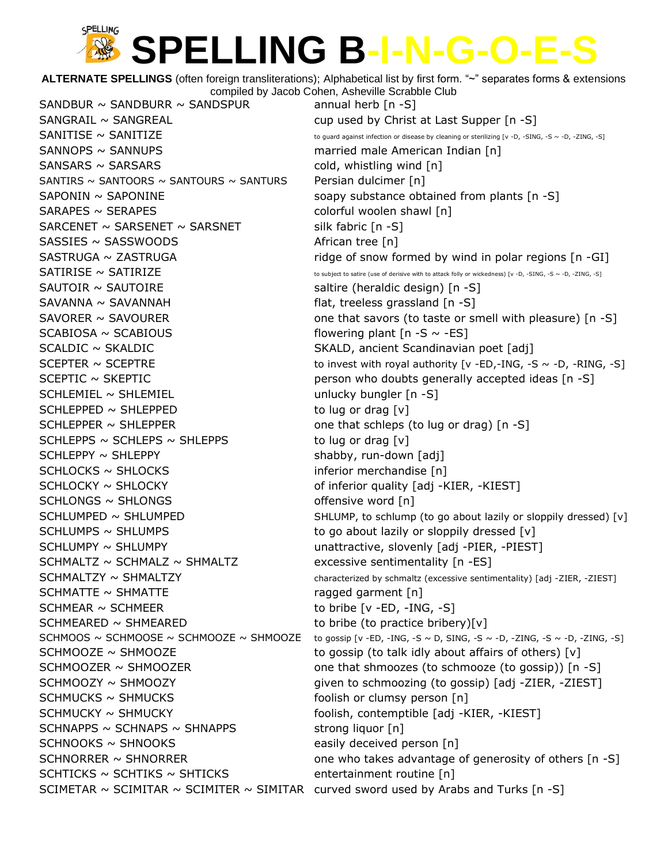**ALTERNATE SPELLINGS** (often foreign transliterations); Alphabetical list by first form. "~" separates forms & extensions compiled by Jacob Cohen, Asheville Scrabble Club

SANDBUR  $\sim$  SANDBURR  $\sim$  SANDSPUR annual herb [n -S]  $SANGRAL \sim SANGREAL$  cup used by Christ at Last Supper [n -S] SANNOPS ~ SANNUPS married male American Indian [n]  $SANSARS \sim SARSARS$  cold, whistling wind  $[n]$ SANTIRS  $\sim$  SANTOORS  $\sim$  SANTOURS  $\sim$  SANTURS Persian dulcimer [n]  $SAPONIN \sim$  SAPONINE soapy substance obtained from plants  $[n -S]$ SARAPES ~ SERAPES colorful woolen shawl [n]  $SARCENET \sim SARSENT \sim SARSNET$  silk fabric [n -S]  $SASSIES \sim SASSWOODS$  African tree [n] SAUTOIR ~ SAUTOIRE saltire (heraldic design) [n -S]  $SAVANNA \sim SAVANNAH$  flat, treeless grassland  $[n -S]$  $SCABIOSA \sim SCABIOUS$  flowering plant  $[n-S \sim -ES]$ SCALDIC ~ SKALDIC SCALDIC SKALD, ancient Scandinavian poet [adj] SCHLEMIEL ~ SHLEMIEL UNIVERSITY Unlucky bungler [n -S]  $SCHLEPPED \sim SHLEPPED$  to lug or drag [v] SCHLEPPER ~ SHLEPPER one that schleps (to lug or drag) [n -S] SCHLEPPS  $\sim$  SCHLEPS  $\sim$  SHLEPPS to lug or drag [v] SCHLEPPY ~ SHLEPPY shabby, run-down [adj] SCHLOCKS ~ SHLOCKS inferior merchandise [n] SCHLOCKY ~ SHLOCKY **being a superfinite that inferior quality** [adj -KIER, -KIEST]  $SCHLONGS \sim SHLONGS$  offensive word [n] SCHLUMPS  $\sim$  SHLUMPS  $\sim$  states to go about lazily or sloppily dressed [v] SCHLUMPY ~ SHLUMPY **WE UNITED SCHLUMPY** unattractive, slovenly [adj -PIER, -PIEST]  $SCHMALTZ \sim SCHMALZ \sim SHMALTZ$  excessive sentimentality [n -ES] SCHMATTE ~ SHMATTE contains the ragged garment [n] SCHMEAR ~ SCHMEER to bribe [v -ED, -ING, -S] SCHMEARED ~ SHMEARED to bribe (to practice bribery)[v]  $SCHMUCKS \sim SHMUCKS$  foolish or clumsy person  $[n]$ SCHMUCKY ~ SHMUCKY **butch and the set of the set of the set of the set of the set of the set of the set of the s**  $SCHNAPPS \sim SCHNAPS \sim SHNAPPS$  strong liquor [n]  $SCHNOOKS \sim SHNOOKS$  easily deceived person [n]  $SCHTICKS \sim SCHTIKS \sim SHTICKS$  entertainment routine [n] SCIMETAR  $\sim$  SCIMITAR  $\sim$  SCIMITER  $\sim$  SIMITAR curved sword used by Arabs and Turks [n -S]

 $SANTISE \sim SANTIZE$  To guard against infection or disease by cleaning or sterilizing [v -D, -SING, -S ~ -D, -ZING, -S] SASTRUGA ~ ZASTRUGA **ridge of snow formed by wind in polar regions** [n -GI]  $SATIRISE \sim SATIRIZE$  to subject to satire (use of derisive with to attack folly or wickedness) [v -D, -SING, -S ~ -D, -ZING, -S] SAVORER  $\sim$  SAVOURER  $\sim$  SAVOURER one that savors (to taste or smell with pleasure) [n -S] SCEPTER  $\sim$  SCEPTRE to invest with royal authority [v -ED,-ING, -S  $\sim$  -D, -RING, -S] SCEPTIC ~ SKEPTIC **berson** who doubts generally accepted ideas [n -S]  $SCHLUMPED \sim SHLUMPED$  SHLUMP SHLUMP, to schlump (to go about lazily or sloppily dressed) [v]  $SCHMALTZY \sim SHMALTZY$   $\sim$   $SHHALTZY$  characterized by schmaltz (excessive sentimentality) [adj -ZIER, -ZIEST] SCHMOOS  $\sim$  SCHMOOSE  $\sim$  SCHMOOZE  $\sim$  SHMOOZE to gossip [v -ED, -ING, -S  $\sim$  D, SING, -S  $\sim$  -D, -ZING, -S  $\sim$  -D, -ZING, -S] SCHMOOZE  $\sim$  SHMOOZE to gossip (to talk idly about affairs of others) [v] SCHMOOZER  $\sim$  SHMOOZER one that shmoozes (to schmooze (to gossip))  $[n -S]$ SCHMOOZY ~ SHMOOZY example and the schmoozing (to gossip) [adj -ZIER, -ZIEST] SCHNORRER  $\sim$  SHNORRER  $\sim$  SHNORRER  $\sim$  3 and  $\sim$  5 and  $\sim$  5 and  $\sim$  5 and  $\sim$  5 and  $\sim$  5 and  $\sim$  5 and  $\sim$  5 and  $\sim$  5 and  $\sim$  5 and  $\sim$  5 and  $\sim$  5 and  $\sim$  5 and  $\sim$  5 and  $\sim$  5 and  $\sim$  5 and  $\sim$  5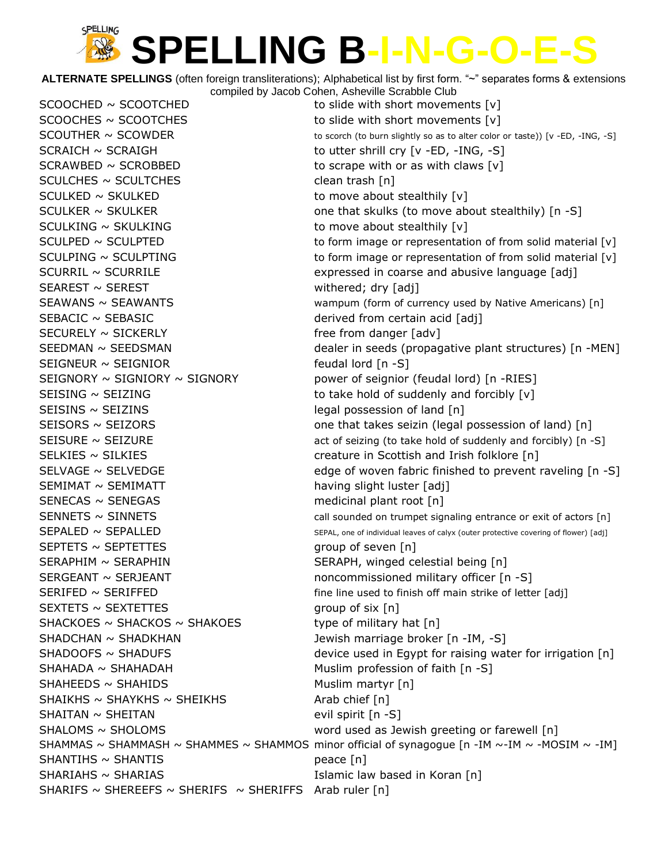**ALTERNATE SPELLINGS** (often foreign transliterations); Alphabetical list by first form. "~" separates forms & extensions compiled by Jacob Cohen, Asheville Scrabble Club

 $SCOOCHED \sim SCOOTCHED$  to slide with short movements  $[v]$  $SCOOCHES \sim SCOOTCHES$  to slide with short movements  $[v]$ SCRAICH ~ SCRAIGH to utter shrill cry [v -ED, -ING, -S]  $SCRAWBED \sim SCROBBED$  to scrape with or as with claws  $[v]$ SCULCHES ~ SCULTCHES clean trash [n]  $SCULKED \sim SKULKED$  to move about stealthily  $[v]$  $SCULKING \sim SKULKING$  to move about stealthily  $[v]$ SEAREST ~ SEREST withered; dry [adj]  $SEBACIC \sim SEBASIC$  derived from certain acid  $[adj]$ SECURELY ~ SICKERLY free from danger [adv]  $SEIGNEUR \sim SEIGNIOR$  feudal lord  $[n-S]$ SEISINS ~ SEIZINS **SEIZINS** and the legal possession of land [n] SEMIMAT ~ SEMIMATT having slight luster [adj]  $SENECAS \sim$  SENEGAS medicinal plant root [n]  $S$ EPTETS ~ SEPTETTES group of seven  $[n]$ SERAPHIM ~ SERAPHIN SERAPH, winged celestial being [n]  $S$ EXTETS  $\sim$  SEXTETTES group of six  $[n]$ SHACKOES  $\sim$  SHACKOS  $\sim$  SHAKOES type of military hat [n] SHADCHAN ~ SHADKHAN Jewish marriage broker [n -IM, -S] SHAHADA ~ SHAHADAH Muslim profession of faith [n -S]  $SHAHEEDS \sim SHAHIDS$  Muslim martyr [n]  $SHAIKHS \sim SHAYKHS \sim SHEIKHS$  Arab chief [n] SHAITAN ~ SHEITAN evil spirit [n -S] SHANTIHS ~ SHANTIS peace [n] SHARIAHS ~ SHARIAS **Islamic law based in Koran** [n] SHARIFS  $\sim$  SHEREEFS  $\sim$  SHERIFS  $\sim$  SHERIFFS Arab ruler [n]

 $SCOUTHER \sim SCOWDER$  to scorch (to burn slightly so as to alter color or taste)) [v -ED, -ING, -S] SCULKER  $\sim$  SKULKER  $\sim$  600 methat skulks (to move about stealthily) [n -S] SCULPED ~ SCULPTED to form image or representation of from solid material [v] SCULPING ~ SCULPTING to form image or representation of from solid material [v] SCURRIL ~ SCURRILE expressed in coarse and abusive language [adj] SEAWANS ~ SEAWANTS **SERWANTS** wampum (form of currency used by Native Americans) [n] SEEDMAN ~ SEEDSMAN dealer in seeds (propagative plant structures) [n -MEN] SEIGNORY  $\sim$  SIGNIORY  $\sim$  SIGNORY  $\sim$  SIGNORY power of seignior (feudal lord) [n -RIES] SEISING ~ SEIZING to take hold of suddenly and forcibly  $[v]$ SEISORS  $\sim$  SEIZORS  $\sim$  sets and the set one that takes seizin (legal possession of land) [n] SEISURE  $\sim$  SEIZURE  $\sim$  SEIZURE act of seizing (to take hold of suddenly and forcibly) [n -S] SELKIES ~ SILKIES creature in Scottish and Irish folklore [n] SELVAGE  $\sim$  SELVEDGE edge of woven fabric finished to prevent raveling  $[n -S]$  $SENNETS \sim SINNETS$  call sounded on trumpet signaling entrance or exit of actors [n]  $SEPALED \sim SEPALLED$  SEPALLED SEPAL, one of individual leaves of calyx (outer protective covering of flower) [adj] SERGEANT ~ SERJEANT noncommissioned military officer [n -S]  $SERIFED \sim$  SERIFFED fine line used to finish off main strike of letter [adj]  $SHADOOFS \sim SHADUFS$  device used in Egypt for raising water for irrigation [n] SHALOMS ~ SHOLOMS **but all in the set of the set of the set of the set of the set of the set of the set of the s** SHAMMAS ~ SHAMMASH ~ SHAMMES ~ SHAMMOS minor official of synagogue  $[n - IM \sim -IM \sim -M$  ~ -MOSIM ~ -IM]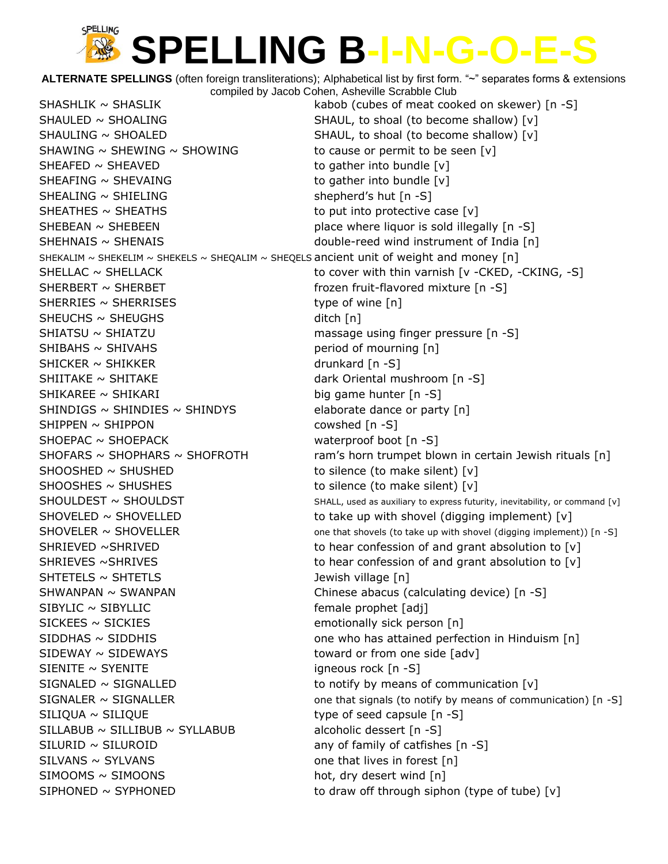**ALTERNATE SPELLINGS** (often foreign transliterations); Alphabetical list by first form. "~" separates forms & extensions compiled by Jacob Cohen, Asheville Scrabble Club

SHASHLIK ~ SHASLIK **butch in the state of meat cooked on skewer**) [n -S] SHAULED ~ SHOALING SHAUL, to shoal (to become shallow) [v] SHAULING ~ SHOALED SHAUL, to shoal (to become shallow) [v] SHAWING  $\sim$  SHEWING  $\sim$  SHOWING to cause or permit to be seen [v] SHEAFED  $\sim$  SHEAVED to gather into bundle  $[v]$  $SHEAFING \sim SHEVAING$  to gather into bundle  $[v]$  $SHEALING \sim SHIELING$  shepherd's hut  $[n-S]$ SHEATHES  $\sim$  SHEATHS to put into protective case  $[v]$  $SHEBERN \sim SHEBEEN$  place where liquor is sold illegally  $[n -S]$ SHEHNAIS ~ SHENAIS **SHENAIS** and the state of the double-reed wind instrument of India [n] SHEKALIM ~ SHEKELIM ~ SHEKELS ~ SHEQALIM ~ SHEQELS ancient unit of weight and money  $[n]$ SHELLAC  $\sim$  SHELLACK to cover with thin varnish [v -CKED, -CKING, -S] SHERBERT ~ SHERBET frozen fruit-flavored mixture [n -S]  $SHERRIES \sim SHERRISES$  type of wine [n]  $SHEUCHS \sim SHEUGHS$  ditch [n] SHIATSU ~ SHIATZU massage using finger pressure [n -S] SHIBAHS ~ SHIVAHS beriod of mourning [n]  $SHICKER \sim SHIKKER$  drunkard [n -S] SHIITAKE ~ SHITAKE dark Oriental mushroom [n -S] SHIKAREE ~ SHIKARI big game hunter [n -S] SHINDIGS  $\sim$  SHINDIES  $\sim$  SHINDYS elaborate dance or party [n]  $SHIPPEN \sim SHIPPON$  cowshed [n -S] SHOEPAC ~ SHOEPACK waterproof boot [n -S] SHOFARS  $\sim$  SHOPHARS  $\sim$  SHOFROTH ram's horn trumpet blown in certain Jewish rituals [n]  $SHOOSHED \sim SHUSHED$  to silence (to make silent) [v]  $SHOOSHES \sim SHUSHES$  to silence (to make silent) [v]  $SHOULDEST \sim SHOULDST$  SHOULDST SHALL, used as auxiliary to express futurity, inevitability, or command [v] SHOVELED  $\sim$  SHOVELLED to take up with shovel (digging implement) [v]  $SHOVELER \sim SHOVELLER$  one that shovels (to take up with shovel (digging implement)) [n -S] SHRIEVED ~SHRIVED  $\sim$  sets to hear confession of and grant absolution to [v] SHRIEVES ~SHRIVES TO THE STATE of to hear confession of and grant absolution to [v] SHTETELS ~ SHTETLS **between the state of the SHTETELS** and Jewish village [n] SHWANPAN ~ SWANPAN Chinese abacus (calculating device) [n -S]  $SIBYLIC \sim SIBYLLLIC$  female prophet [adj] SICKEES ~ SICKIES emotionally sick person [n] SIDDHAS ~ SIDDHIS **SIDDHIS** one who has attained perfection in Hinduism [n] SIDEWAY ~ SIDEWAYS TO THE TOWARD TO THE TOWARD OF TOMORE TO THE SIDE OF TOWARD TO THE SIDE OF THE SIDE OF THE SIDE OF THE SIDE OF THE SIDE OF THE SIDE OF THE SIDE OF THE SIDE OF THE SIDE OF THE SIDE OF THE SIDE OF THE SIDE  $SIENTE \sim SYENITE$  igneous rock  $[n - S]$  $SIGNALED \sim SIGNALLED$  to notify by means of communication [v]  $SIGNALER \sim SIGNALLER$  one that signals (to notify by means of communication) [n -S]  $SLIQUA \sim SLIQUE$  type of seed capsule  $[n -S]$  $SILLABUB \sim SILLIBUB \sim SYLLABUB$  alcoholic dessert  $[n -S]$  $SLURID \sim SLUROID$  any of family of catfishes  $[n -S]$  $SLVANS \sim SYLVANS$  one that lives in forest  $[n]$  $SIMOOMS \sim SIMOONS$  hot, dry desert wind  $[n]$  $SIPHONED \sim SYPHONED$  to draw off through siphon (type of tube) [v]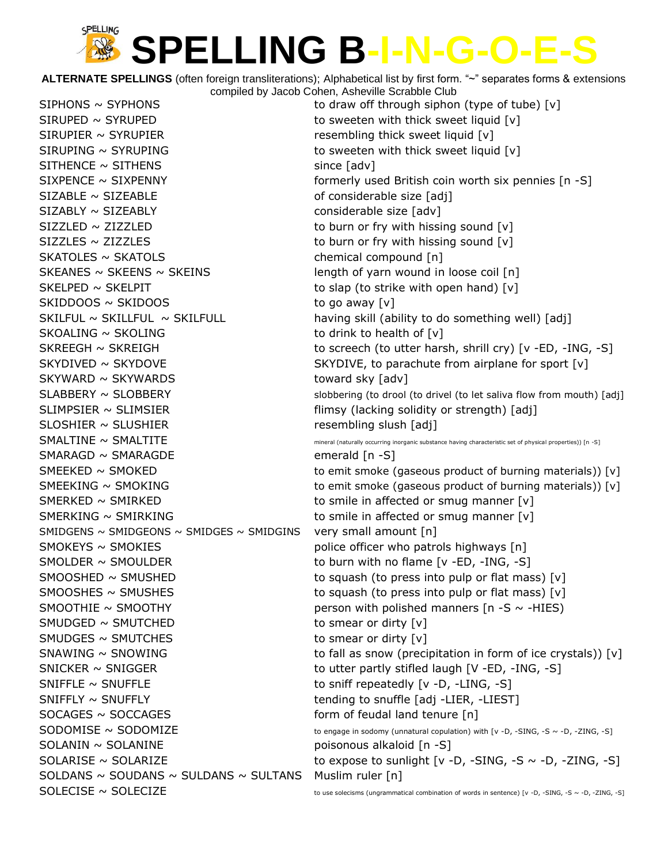**ALTERNATE SPELLINGS** (often foreign transliterations); Alphabetical list by first form. "~" separates forms & extensions compiled by Jacob Cohen, Asheville Scrabble Club

 $SIPHONS \sim SYPHONS$  to draw off through siphon (type of tube)  $[v]$  $SIRUPED \sim SYRUPED$  to sweeten with thick sweet liquid [v]  $SIRUPIER \sim SYRUPIER$  resembling thick sweet liquid [v]  $SIRUPING \sim SYRUPING$  to sweeten with thick sweet liquid  $[v]$  $SITHENCE \sim SITHENS$  since [adv]  $SIZABLE \sim SIZEABLE$  of considerable size [adj] SIZABLY ~ SIZEABLY considerable size [adv]  $SIZZLED \sim ZIZZLED$  to burn or fry with hissing sound  $[v]$  $SIZZLES \sim ZIZZLES$  to burn or fry with hissing sound  $[v]$ SKATOLES ~ SKATOLS chemical compound [n] SKEANES  $\sim$  SKEENS  $\sim$  SKEINS  $\sim$  SKEINS length of yarn wound in loose coil [n] SKELPED  $\sim$  SKELPIT to slap (to strike with open hand)  $[v]$  $SKIDDOOS \sim SKIDOOS$  to go away  $[v]$  $SKOALING \sim SKOLING$  to drink to health of  $[v]$  $SKYWARD \sim SKYWARDS$  toward sky [adv]  $SLIMPSIER \sim SLIMSIER$  flimsy (lacking solidity or strength) [adj] SLOSHIER ~ SLUSHIER resembling slush [adj] SMARAGD ~ SMARAGDE emerald [n -S]  $SMERKED \sim SMIRKED$  to smile in affected or smug manner  $[v]$ SMERKING  $\sim$  SMIRKING  $\sim$  smile in affected or smug manner [v] SMIDGENS  $\sim$  SMIDGEONS  $\sim$  SMIDGES  $\sim$  SMIDGINS very small amount [n] SMOKEYS ~ SMOKIES example in the police officer who patrols highways [n]  $SMOLDER \sim SMOULDER$  to burn with no flame [v -ED, -ING, -S] SMOOTHIE  $\sim$  SMOOTHY person with polished manners [n -S  $\sim$  -HIES)  $SMDGED \sim SMUTCHED$  to smear or dirty  $[v]$  $SMDGES \sim SMUTCHES$  to smear or dirty  $[v]$  $SNICKER \sim SNIGGER$  to utter partly stifled laugh [V -ED, -ING, -S]  $SNIFLE \sim SNUFFLE$  to sniff repeatedly  $[v -D, -LING, -S]$ SNIFFLY ~ SNUFFLY THE STRUM SNUFFLY tending to snuffle [adj -LIER, -LIEST] SOCAGES ~ SOCCAGES form of feudal land tenure [n] SOLANIN ~ SOLANINE poisonous alkaloid [n -S] SOLDANS ~ SOUDANS ~ SULDANS ~ SULTANS Muslim ruler  $[n]$  $SOLECISE \sim SOLECIZE$  to use solecisms (ungrammatical combination of words in sentence) [v -D, -SING, -S ~ -D, -ZING, -S]

SIXPENCE  $\sim$  SIXPENNY **formerly** used British coin worth six pennies  $[n -S]$ SKILFUL ~ SKILLFUL ~ SKILFULL having skill (ability to do something well) [adj] SKREEGH ~ SKREIGH to screech (to utter harsh, shrill cry) [v -ED, -ING, -S]  $SKYDIVED \sim SKYDOVE$  SKYDIVE, to parachute from airplane for sport  $[v]$  $SLABBERY \sim SLOBBERY$  slobbering (to drool (to drivel (to let saliva flow from mouth) [adj]  $SMALTINE \sim SMALLTITE$  mineral (naturally occurring inorganic substance having characteristic set of physical properties)) [n -S]  $SMEEKED \sim SMOKED$  to emit smoke (gaseous product of burning materials)) [v]  $SMEEKING \sim SMOKING$  to emit smoke (gaseous product of burning materials)) [v]  $SMOOSHED \sim SMUSHED$  to squash (to press into pulp or flat mass)  $[v]$  $SMOOSHES \sim SMUSHES$  to squash (to press into pulp or flat mass) [v]  $SNAWING \sim SNOWING$  to fall as snow (precipitation in form of ice crystals)) [v]  $SODOMISE \sim SODOMIZE$  to engage in sodomy (unnatural copulation) with [v -D, -SING, -S ~ -D, -ZING, -S] SOLARISE  $\sim$  SOLARIZE to expose to sunlight  $\lceil v \cdot D \rceil$  -SING, -S  $\sim$  -D, -ZING, -S]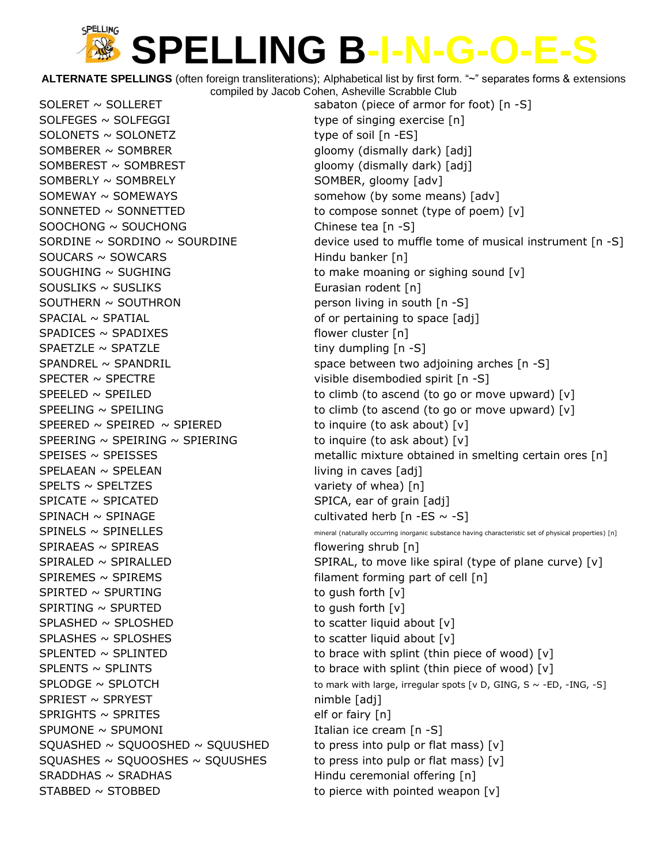**ALTERNATE SPELLINGS** (often foreign transliterations); Alphabetical list by first form. "~" separates forms & extensions compiled by Jacob Cohen, Asheville Scrabble Club

 $SOLFEGES \sim SOLFEGGI$  type of singing exercise [n]  $SOLONETS \sim SOLONETZ$  type of soil  $[n - ES]$ SOMBERER ~ SOMBRER gloomy (dismally dark) [adj] SOMBEREST ~ SOMBREST **gloomy** (dismally dark) [adj] SOMBERLY ~ SOMBRELY SOMBER, gloomy [adv] SOMEWAY ~ SOMEWAYS somehow (by some means) [adv]  $SONNETED \sim SONNETTED$  to compose sonnet (type of poem)  $[v]$  $SOOCHONG \sim SOUCHONG$  Chinese tea [n -S]  $SOUCARS \sim SOWCARS$  Hindu banker [n]  $S期O, V = SUMO$  SUGHING to make moaning or sighing sound  $[V]$ SOUSLIKS ~ SUSLIKS **EUROLIC** Eurasian rodent [n]  $S$ OUTHERN ~ SOUTHRON person living in south  $[n -S]$  $SPACIAL \sim SPATIAL$  of or pertaining to space  $[adj]$  $SPADICES \sim SPADIXES$  flower cluster [n]  $SPAETZLE \sim SPATZLE$  tiny dumpling  $[n -S]$ SPECTER ~ SPECTRE visible disembodied spirit [n -S] SPEERED  $\sim$  SPEIRED  $\sim$  SPIERED to inquire (to ask about) [v]  $SPEERING \sim SPEIRING \sim SPIERING$  to inquire (to ask about) [v] SPELAEAN ~ SPELEAN living in caves [adj]  $SPELTS \sim SPELTZES$  variety of whea) [n]  $SPICATE \sim SPICATED$  SPICATED SPICA, ear of grain  $[adj]$  $SPINACH \sim SPINAGE$  cultivated herb  $[n -ES \sim -S]$  $SPIRAEAS \sim SPIREAS$  flowering shrub  $[n]$  $SPIREMES \sim SPIREMS$  filament forming part of cell [n]  $SPIRTED \sim SPURTING$  to gush forth  $[v]$  $SPIRTING \sim SPURTED$  to gush forth  $[v]$  $SPLASHED \sim SPLOSHED$  to scatter liquid about  $[v]$  $SPLASHES \sim SPLOSHES$  to scatter liquid about  $[v]$  $SPRIEST \sim SPRYEST$  nimble [adj]  $SPRIGHTS \sim SPRITES$  elf or fairy  $[n]$  $S$ PUMONE ~ SPUMONI in the set of the set of the set of the set of the set of the set of the set of the set of the set of the set of the set of the set of the set of the set of the set of the set of the set of the set of SQUASHED  $\sim$  SQUOOSHED  $\sim$  SQUUSHED to press into pulp or flat mass) [v] SQUASHES ~ SQUOOSHES ~ SQUUSHES to press into pulp or flat mass)  $[v]$  $SRADDHAS \sim SRADHAS$  Hindu ceremonial offering  $[n]$  $STABBED \sim STOBBED$  to pierce with pointed weapon  $[v]$ 

SOLERET ~ SOLLERET sabaton (piece of armor for foot) [n -S] SORDINE  $\sim$  SORDINO  $\sim$  SOURDINE device used to muffle tome of musical instrument [n -S] SPANDREL ~ SPANDRIL SPANDRIL space between two adjoining arches [n -S] SPEELED  $\sim$  SPEILED to climb (to ascend (to go or move upward) [v] SPEELING  $\sim$  SPEILING  $\sim$  sets. The set of climb (to ascend (to go or move upward) [v] SPEISES ~ SPEISSES metallic mixture obtained in smelting certain ores [n]  $SPINELS \sim SPINELLES$  mineral (naturally occurring inorganic substance having characteristic set of physical properties) [n]  $SPIRALED \sim SPIRALLED$  SPIRAL SPIRAL, to move like spiral (type of plane curve) [v] SPLENTED ~ SPLINTED  $\sim$  SPLINTED to brace with splint (thin piece of wood) [v] SPLENTS  $\sim$  SPLINTS  $\sim$  SPLINTS to brace with splint (thin piece of wood) [v]  $SPLODE \sim SPLOTCH$  to mark with large, irregular spots [v D, GING, S ~ -ED, -ING, -S]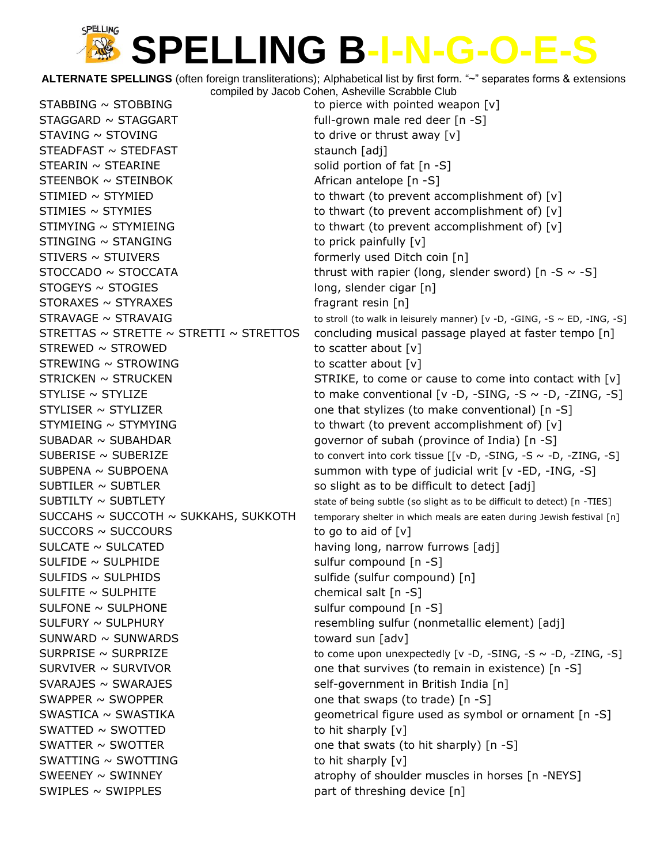**ALTERNATE SPELLINGS** (often foreign transliterations); Alphabetical list by first form. "~" separates forms & extensions compiled by Jacob Cohen, Asheville Scrabble Club

 $STABBING \sim STOBBING$  to pierce with pointed weapon  $[v]$  $STAGGARD \sim STAGGART$  full-grown male red deer  $[n -S]$  $STAVING \sim STOVING$  to drive or thrust away  $[v]$  $STEADFAST \sim STEDFAST$  staunch [adj]  $STEARIN \sim STEARINE$  solid portion of fat  $[n -S]$  $STEENBOK \sim STEINBOK$  African antelope  $[n -S]$ STIMIED ~ STYMIED to thwart (to prevent accomplishment of) [v] STIMIES  $\sim$  STYMIES  $\sim$  STYMIES  $STIMYING \sim STYMIEING$  to thwart (to prevent accomplishment of) [v]  $STINGING \sim STANGING$  to prick painfully  $[v]$  $STIVERS \sim STUVERS$  formerly used Ditch coin [n]  $STOGEYS \sim STOGIES$  long, slender cigar [n]  $STORAXES \sim STYRAXES$  fragrant resin [n]  $STREWED \sim STROWED$  to scatter about  $[v]$  $STREWING \sim STROWING$  to scatter about [v]  $STYMIEING \sim STYMYING$  to thwart (to prevent accomplishment of) [v] SUBADAR ~ SUBAHDAR **governor of subah (province of India)** [n -S] SUBTILER  $\sim$  SUBTLER so slight as to be difficult to detect [adj]  $SUCCORS \sim SUCCOURS$  to go to aid of  $[v]$ SULCATE ~ SULCATED having long, narrow furrows [adj]  $SULFIDE \sim SULPHIDE$  sulfur compound  $[n-S]$ SULFIDS ~ SULPHIDS sulfide (sulfur compound) [n]  $SULFITE \sim SULPHITE$  chemical salt [n -S] SULFONE ~ SULPHONE sulfur compound [n -S] SULFURY ~ SULPHURY resembling sulfur (nonmetallic element) [adj]  $SUNWARD \sim \text{SUMWARDS}$  toward sun [adv] SVARAJES ~ SWARAJES self-government in British India [n] SWAPPER  $\sim$  SWOPPER one that swaps (to trade)  $\lceil n - S \rceil$  $SWATIED \sim SWOTTED$  to hit sharply  $[v]$ SWATTER  $\sim$  SWOTTER one that swats (to hit sharply) [n -S]  $SWATTING \sim SWOTTING$  to hit sharply  $[v]$  $SWIPLES \sim SWIPPLES$  part of threshing device [n]

 $STOCCADO \sim STOCCATA$  thrust with rapier (long, slender sword) [n -S  $\sim$  -S]  $STRAVAGE \sim STRAVAIG$  to stroll (to walk in leisurely manner) [v -D, -GING, -S ~ ED, -ING, -S] STRETTAS  $\sim$  STRETTE  $\sim$  STRETTI  $\sim$  STRETTOS concluding musical passage played at faster tempo [n]  $STRICKEN \sim STRICKEN$  STRIKE, to come or cause to come into contact with  $[v]$  $STYLISE \sim STYLIZE$  to make conventional [v -D, -SING, -S  $\sim$  -D, -ZING, -S]  $STYLISER ~ STYLIZER$  one that stylizes (to make conventional)  $[n -S]$ SUBERISE ~ SUBERIZE  $\sim$  SUBERIZE to convert into cork tissue  $[ [v -D, -SING, -S -D, -ZING, -S]$ SUBPENA ~ SUBPOENA summon with type of judicial writ [v -ED, -ING, -S]  $SUBTILTY \sim SUBTLETY$  state of being subtle (so slight as to be difficult to detect) [n -TIES]  $SUCCAHS \sim SUCCOTH \sim SUKKAHS$ ,  $SUKKOTH$  temporary shelter in which meals are eaten during Jewish festival [n]  $SURPRISE \sim SURPRIZE$  to come upon unexpectedly [v -D, -SING, -S ~ -D, -ZING, -S] SURVIVER  $\sim$  SURVIVOR one that survives (to remain in existence) [n -S]  $SWASTICA \sim SWASTIKA$  geometrical figure used as symbol or ornament [n -S] SWEENEY ~ SWINNEY **Atrophy of shoulder muscles in horses [n** -NEYS]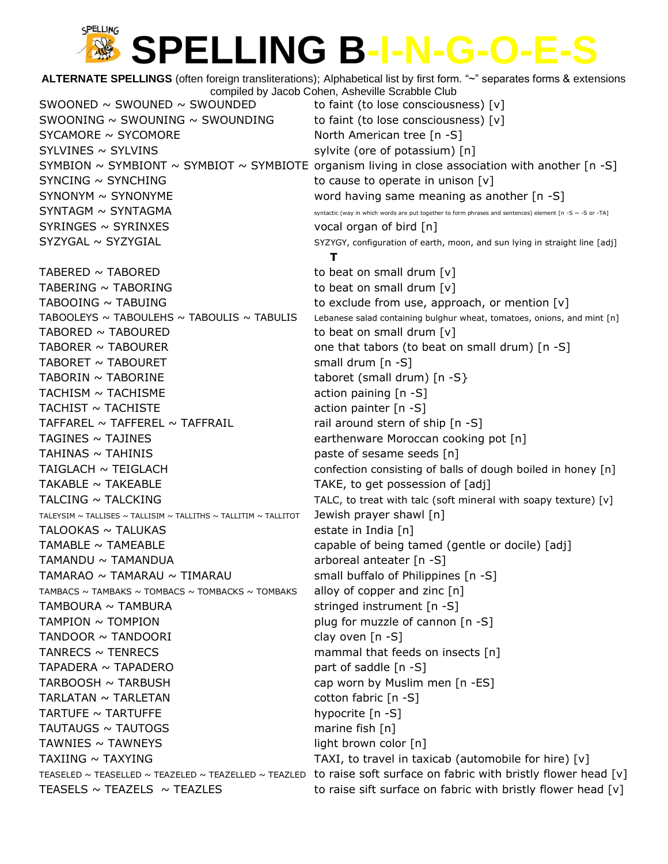**ALTERNATE SPELLINGS** (often foreign transliterations); Alphabetical list by first form. "~" separates forms & extensions compiled by Jacob Cohen, Asheville Scrabble Club SWOONED  $\sim$  SWOUNED  $\sim$  SWOUNDED to faint (to lose consciousness) [v] SWOONING  $\sim$  SWOUNING  $\sim$  SWOUNDING to faint (to lose consciousness) [v]  $SYZAMORE \sim SYCOMORE$  North American tree [n -S] SYLVINES ~ SYLVINS sylvite (ore of potassium) [n] SYMBION  $\sim$  SYMBIONT  $\sim$  SYMBIOT  $\sim$  SYMBIOTE organism living in close association with another [n -S]  $SYNCING \sim SYNCHING$  to cause to operate in unison  $[v]$ SYNONYM ~ SYNONYME word having same meaning as another [n -S] SYNTAGM ~ SYNTAGMA syntactic (way in which words are put together to form phrases and sentences) element [n -S ~ -S or -TA] SYRINGES ~ SYRINXES vocal organ of bird [n]  $SYZYGAL \sim SYZYGIAL$  SYZYGIAL SYZYGY, configuration of earth, moon, and sun lying in straight line [adj] **T** TABERED  $\sim$  TABORED to beat on small drum  $[v]$ TABERING  $\sim$  TABORING to beat on small drum  $[v]$ TABOOING  $\sim$  TABUING  $\sim$  TABUING TABOOLEYS ~ TABOULEHS ~ TABOULIS ~ TABULIS Lebanese salad containing bulghur wheat, tomatoes, onions, and mint [n] TABORED  $\sim$  TABOURED to beat on small drum  $[v]$ TABORER  $\sim$  TABOURER  $\sim$  TABOURER one that tabors (to beat on small drum) [n -S] TABORET ~ TABOURET small drum [n -S]  $TABORIN \sim TABORINE$  taboret (small drum)  $[n-S]$  $TACHISM \sim TACHISME$  action paining  $[n -S]$  $TACHIST \sim TACHISTE$  action painter  $[n -S]$ TAFFAREL  $\sim$  TAFFEREL  $\sim$  TAFFRAIL rail around stern of ship [n -S] TAGINES ~ TAJINES earthenware Moroccan cooking pot [n] TAHINAS  $\sim$  TAHINIS the set of sesame seeds  $[n]$ TAIGLACH  $\sim$  TEIGLACH confection consisting of balls of dough boiled in honey [n] TAKABLE  $\sim$  TAKEABLE  $\sim$  TAKE, to get possession of [adj] TALCING  $\sim$  TALCKING  $\sim$  TALC, to treat with talc (soft mineral with soapy texture) [v] TALEYSIM  $\sim$  TALLISES  $\sim$  TALLISIM  $\sim$  TALLITHS  $\sim$  TALLITIM  $\sim$  TALLITOT **Jewish prayer shawl**  $\lceil n \rceil$  $TALOOKAS \sim TALUKAS$  estate in India  $[n]$  $TAMABLE \sim TAMEABLE$  capable of being tamed (gentle or docile) [adj] TAMANDU ~ TAMANDUA arboreal anteater [n -S] TAMARAO ~ TAMARAU ~ TIMARAU  $\sim$  TIMARAU small buffalo of Philippines [n -S] TAMBACS  $\sim$  TAMBAKS  $\sim$  TOMBACS  $\sim$  TOMBACKS  $\sim$  TOMBAKS alloy of copper and zinc [n]  $TAMBOURA \sim TAMBURA$  stringed instrument  $[n -S]$  $TAMPION \sim TOMPION$   $\sim$  TOMPION  $TANDOOR \sim TANDOORI$  clay oven  $[n-S]$  $TANRECS \sim TENRECS$  mammal that feeds on insects  $[n]$  $TAPADERA \sim TAPADERO$  part of saddle  $[n -S]$  $TARBOOSH \sim TARBUSH$  cap worn by Muslim men  $[n - ES]$ TARLATAN ~ TARLETAN cotton fabric [n -S]  $TARTUFE \sim TARTUFFE$  hypocrite  $[n -S]$  $T$ AUTAUGS ~ TAUTOGS marine fish  $[n]$  $TAWNIES \sim TAWNEYS$  light brown color  $[n]$ TAXIING  $\sim$  TAXYING TAXI, to travel in taxicab (automobile for hire) [v] TEASELED ~ TEASELLED ~ TEAZELED ~ TEAZELLED ~ TEAZLED to raise soft surface on fabric with bristly flower head [v] TEASELS  $\sim$  TEAZELS  $\sim$  TEAZLES to raise sift surface on fabric with bristly flower head [v]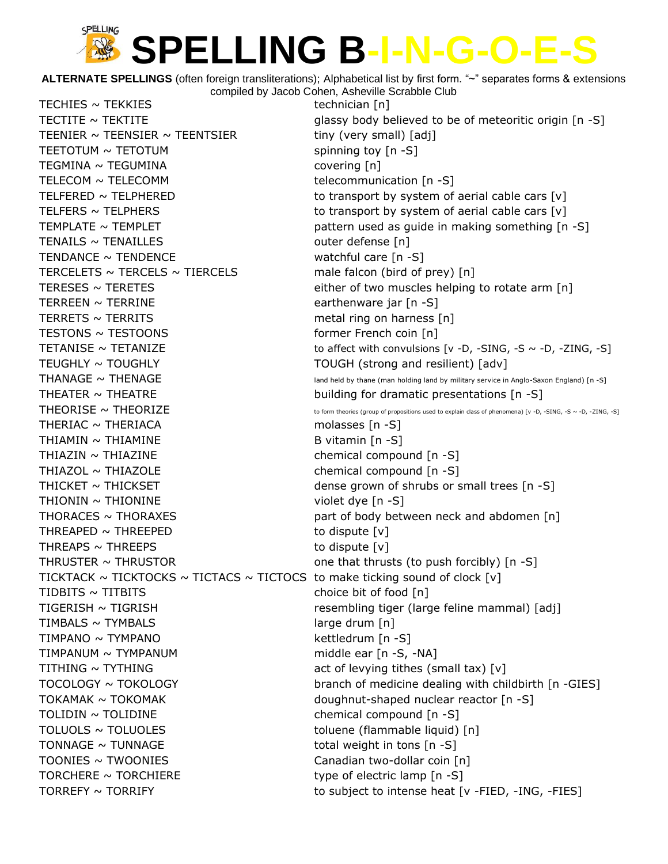**ALTERNATE SPELLINGS** (often foreign transliterations); Alphabetical list by first form. "~" separates forms & extensions compiled by Jacob Cohen, Asheville Scrabble Club

TECHIES ~ TEKKIES technician [n] TEENIER  $\sim$  TEENSIER  $\sim$  TEENTSIER tiny (very small) [adj]  $T\text{EETOTUM} \sim \text{TETOTUM}$  spinning toy  $[n - S]$ TEGMINA ~ TEGUMINA covering [n] TELECOM ~ TELECOMM telecommunication [n -S] TENAILS ~ TENAILLES outer defense [n]  $TENDANCE \sim TENDENCE$  watchful care  $[n - S]$ TERCELETS  $\sim$  TERCELS  $\sim$  TIERCELS male falcon (bird of prey) [n] TERREEN ~ TERRINE earthenware jar [n -S] TERRETS  $\sim$  TERRITS metal ring on harness  $[n]$ TESTONS ~ TESTOONS former French coin [n] TEUGHLY ~ TOUGHLY TOUGH (strong and resilient) [adv] THEATER  $\sim$  THEATRE building for dramatic presentations [n -S] THERIAC  $\sim$  THERIACA molasses  $[n -S]$  $THIAMIN \sim THIAMINE$  B vitamin  $[n-S]$ THIAZIN ~ THIAZINE chemical compound [n -S] THIAZOL ~ THIAZOLE chemical compound [n -S] THICKET  $\sim$  THICKSET  $\sim$  THICKSET dense grown of shrubs or small trees [n -S]  $THIONIN \sim THIONINE$  violet dye  $[n-S]$ THORACES  $\sim$  THORAXES  $\sim$  part of body between neck and abdomen [n] THREAPED  $\sim$  THREEPED to dispute  $[v]$ THREAPS  $\sim$  THREEPS to dispute  $[v]$ THRUSTER  $\sim$  THRUSTOR one that thrusts (to push forcibly)  $[n - S]$ TICKTACK  $\sim$  TICKTOCKS  $\sim$  TICTACS  $\sim$  TICTOCS to make ticking sound of clock [v]  $TIDBITS \sim TITBITS$  choice bit of food [n] TIGERISH ~ TIGRISH resembling tiger (large feline mammal) [adj]  $TIMEALS \sim TYMBALS$  large drum  $[n]$ TIMPANO ~ TYMPANO kettledrum [n -S] TIMPANUM ~ TYMPANUM middle ear [n -S, -NA] TITHING  $\sim$  TYTHING  $\sim$  TYTHING TOKAMAK ~ TOKOMAK doughnut-shaped nuclear reactor [n -S] TOLIDIN ~ TOLIDINE chemical compound [n -S] TOLUOLS ~ TOLUOLES toluene (flammable liquid) [n] TONNAGE  $\sim$  TUNNAGE  $\sim$  TUNNAGE total weight in tons [n -S] TOONIES ~ TWOONIES Canadian two-dollar coin [n] TORCHERE  $\sim$  TORCHIERE type of electric lamp  $[n -S]$ 

TECTITE  $\sim$  TEKTITE  $\sim$  TEKTITE TELFERED  $\sim$  TELPHERED to transport by system of aerial cable cars  $[v]$ TELFERS  $\sim$  TELPHERS to transport by system of aerial cable cars  $[v]$ TEMPLATE  $\sim$  TEMPLET **pattern used as quide in making something** [n -S] TERESES  $\sim$  TERETES either of two muscles helping to rotate arm  $[n]$ TETANISE  $\sim$  TETANIZE to affect with convulsions  $[v -D, -SING, -S \sim -D, -ZING, -S]$ THANAGE  $\sim$  THENAGE  $\sim$  ind held by thane (man holding land by military service in Anglo-Saxon England) [n -S] THEORISE  $\sim$  THEORIZE to form theories (group of propositions used to explain class of phenomena) [v -D, -SING, -S ~ -D, -ZING, -S] TOCOLOGY ~ TOKOLOGY branch of medicine dealing with childbirth [n -GIES] TORREFY ~ TORRIFY TORRIFY to subject to intense heat [v -FIED, -ING, -FIES]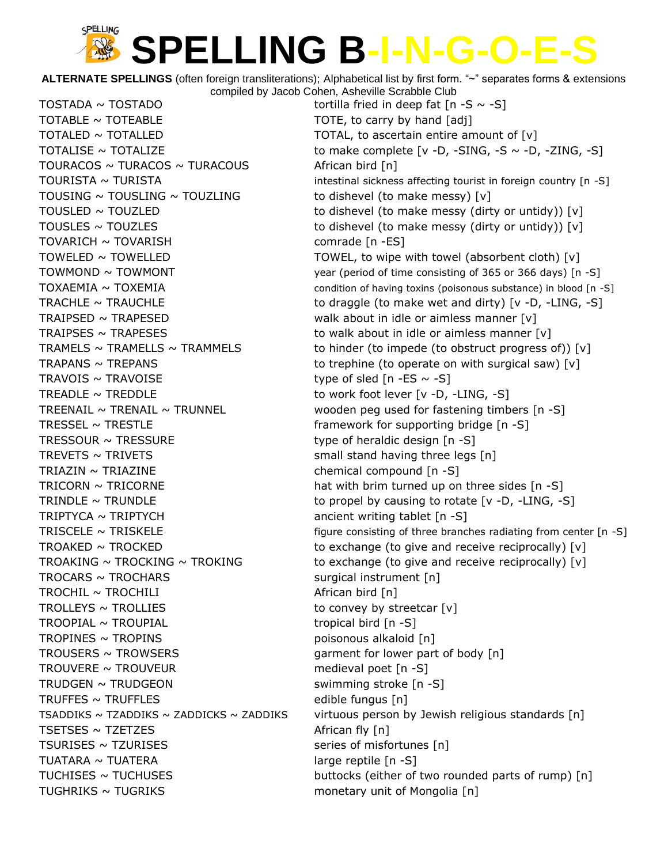**ALTERNATE SPELLINGS** (often foreign transliterations); Alphabetical list by first form. "~" separates forms & extensions compiled by Jacob Cohen, Asheville Scrabble Club

TOSTADA ~ TOSTADO tortilla fried in deep fat  $[n - S \sim -S]$  $\text{TOTABLE} \sim \text{TOTEABLE}$  TOTE, to carry by hand  $\lceil \text{adj} \rceil$  $\text{TotalED} \sim \text{TotalLED}$  TOTAL to ascertain entire amount of  $\lceil v \rceil$ TOURACOS ~ TURACOS ~ TURACOUS  $\sim$  African bird [n] TOUSING  $\sim$  TOUSLING  $\sim$  TOUZLING to dishevel (to make messy) [v] TOVARICH ~ TOVARISH comrade [n -ES] TRAIPSED ~ TRAPESED **but about in idle or aimless manner** [v] TRAIPSES  $\sim$  TRAPESES to walk about in idle or aimless manner  $[v]$ TRAVOIS  $\sim$  TRAVOISE type of sled [n -ES  $\sim$  -S] TREADLE  $\sim$  TREDDLE to work foot lever [v -D, -LING, -S] TRESSEL  $\sim$  TRESTLE framework for supporting bridge [n -S] TRESSOUR  $\sim$  TRESSURE type of heraldic design [n -S] TREVETS  $\sim$  TRIVETS small stand having three legs  $[n]$ TRIAZIN ~ TRIAZINE chemical compound [n -S]  $TRIPTYCA \sim TRIPTYCH$  ancient writing tablet  $[n-S]$  $TROCARS \sim TROCHARS$  surgical instrument  $[n]$  $TROCHIL \sim TROCHILI$  African bird  $[n]$ TROLLEYS  $\sim$  TROLLIES to convey by streetcar  $[v]$  $TROOPIAL \sim TROUPIAL$  tropical bird  $[n-S]$ TROPINES ~ TROPINS poisonous alkaloid [n]  $TROUSERS \sim TROWSERS$  garment for lower part of body  $[n]$  $TROUVERE \sim TROUVEUR$  medieval poet  $[n-S]$  $TRUDGEN \sim TRUDGEON$  swimming stroke  $[n -S]$ TRUFFES  $\sim$  TRUFFLES  $\sim$  TRUFFLES  $TSETSES \sim TZETZES$  African fly [n]  $TSURISES \sim TZURISES$  series of misfortunes  $[n]$  $TUATARA \sim TUATERA$  large reptile  $[n -S]$ TUGHRIKS  $\sim$  TUGRIKS  $\sim$  TUGRIKS

TOTALISE  $\sim$  TOTALIZE to make complete  $[v -D, -SING, -S \sim -D, -ZING, -S]$ TOURISTA ~ TURISTA intestinal sickness affecting tourist in foreign country  $[n - S]$ TOUSLED  $\sim$  TOUZLED to dishevel (to make messy (dirty or untidy)) [v] TOUSLES  $\sim$  TOUZLES to dishevel (to make messy (dirty or untidy)) [v] TOWELED  $\sim$  TOWELLED  $\sim$  TOWEL, to wipe with towel (absorbent cloth) [v] TOWMOND ~ TOWMONT TOW Year (period of time consisting of 365 or 366 days) [n -S] TOXAEMIA ~ TOXEMIA condition of having toxins (poisonous substance) in blood [n -S] TRACHLE  $\sim$  TRAUCHLE to draggle (to make wet and dirty) [v -D, -LING, -S] TRAMELS  $\sim$  TRAMELLS  $\sim$  TRAMMELS to hinder (to impede (to obstruct progress of)) [v] TRAPANS  $\sim$  TREPANS to trephine (to operate on with surgical saw)  $[v]$ TREENAIL  $\sim$  TRENAIL  $\sim$  TRUNNEL wooden peg used for fastening timbers [n -S] TRICORN  $\sim$  TRICORNE hat with brim turned up on three sides [n -S] TRINDLE  $\sim$  TRUNDLE to propel by causing to rotate [v -D, -LING, -S] TRISCELE  $\sim$  TRISKELE  $\sim$  TRISKELE figure consisting of three branches radiating from center [n -S] TROAKED  $\sim$  TROCKED to exchange (to give and receive reciprocally) [v] TROAKING  $\sim$  TROCKING  $\sim$  TROKING  $\sim$  to exchange (to give and receive reciprocally) [v] TSADDIKS  $\sim$  TZADDIKS  $\sim$  ZADDICKS  $\sim$  ZADDIKS virtuous person by Jewish religious standards [n] TUCHISES ~ TUCHUSES TUCHUSES FOR THE SUBSECTION of two rounded parts of rump) [n]